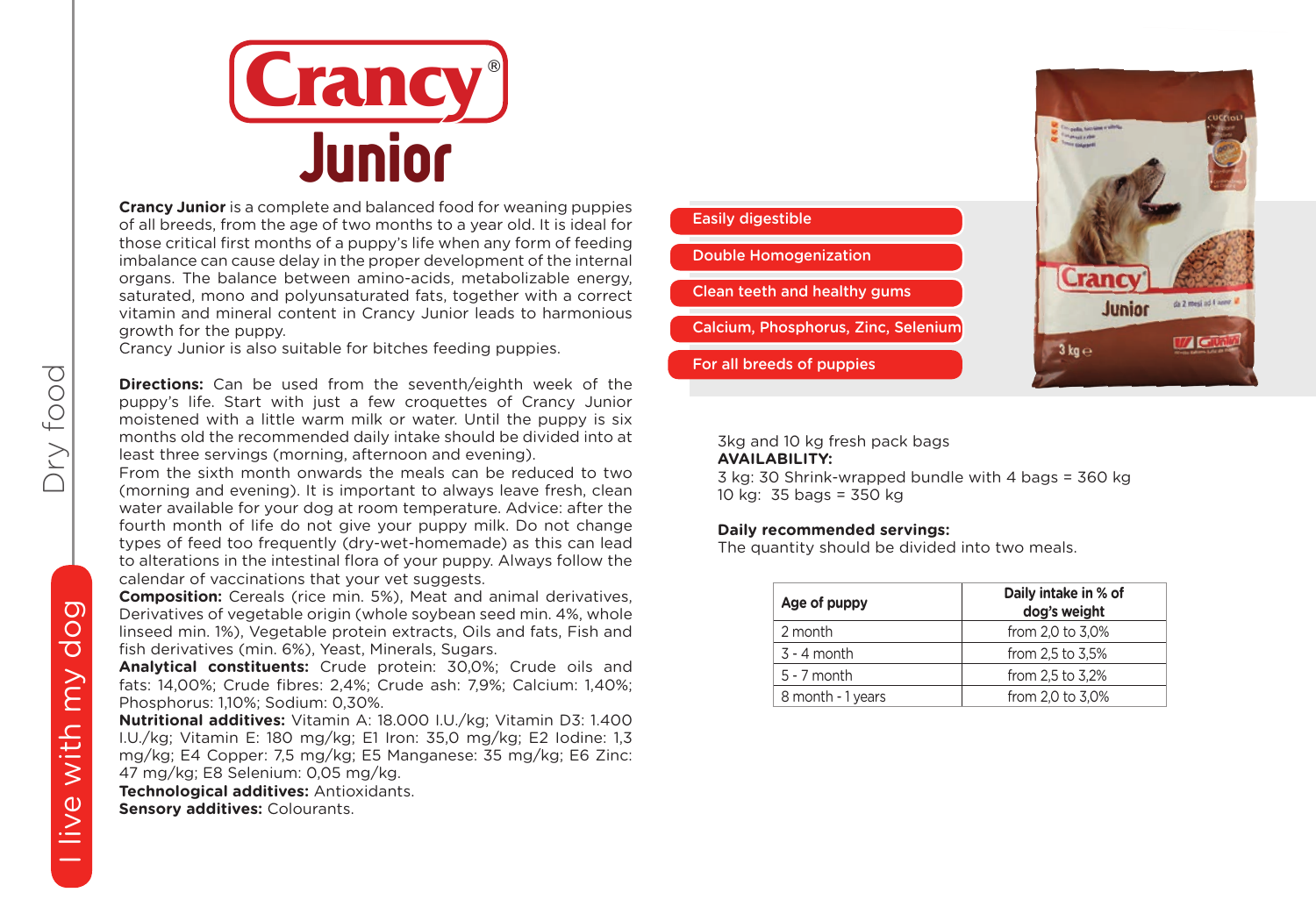

**Crancy Junior** is a complete and balanced food for weaning puppies of all breeds, from the age of two months to a year old. It is ideal for those critical first months of a puppy's life when any form of feeding imbalance can cause delay in the proper development of the internal organs. The balance between amino-acids, metabolizable energy, saturated, mono and polyunsaturated fats, together with a correct vitamin and mineral content in Crancy Junior leads to harmonious growth for the puppy.

Crancy Junior is also suitable for bitches feeding puppies.

**Directions:** Can be used from the seventh/eighth week of the puppy's life. Start with just a few croquettes of Crancy Junior moistened with a little warm milk or water. Until the puppy is six months old the recommended daily intake should be divided into at least three servings (morning, afternoon and evening).

From the sixth month onwards the meals can be reduced to two (morning and evening). It is important to always leave fresh, clean water available for your dog at room temperature. Advice: after the fourth month of life do not give your puppy milk. Do not change types of feed too frequently (dry-wet-homemade) as this can lead to alterations in the intestinal flora of your puppy. Always follow the calendar of vaccinations that your vet suggests.

**Composition:** Cereals (rice min. 5%), Meat and animal derivatives, Derivatives of vegetable origin (whole soybean seed min. 4%, whole linseed min. 1%), Vegetable protein extracts, Oils and fats, Fish and fish derivatives (min. 6%), Yeast, Minerals, Sugars.

**Analytical constituents:** Crude protein: 30,0%; Crude oils and fats: 14,00%; Crude fibres: 2,4%; Crude ash: 7,9%; Calcium: 1,40%; Phosphorus: 1,10%; Sodium: 0,30%.

**Nutritional additives:** Vitamin A: 18.000 I.U./kg; Vitamin D3: 1.400 I.U./kg; Vitamin E: 180 mg/kg; E1 Iron: 35,0 mg/kg; E2 Iodine: 1,3 mg/kg; E4 Copper: 7,5 mg/kg; E5 Manganese: 35 mg/kg; E6 Zinc: 47 mg/kg; E8 Selenium: 0,05 mg/kg.

**Technological additives:** Antioxidants. **Sensory additives:** Colourants.



### 3kg and 10 kg fresh pack bags

#### **AVAILABILITY:**

3 kg: 30 Shrink-wrapped bundle with 4 bags = 360 kg 10 kg: 35 bags = 350 kg

### **Daily recommended servings:**

The quantity should be divided into two meals.

| Age of puppy      | Daily intake in % of<br>dog's weight |
|-------------------|--------------------------------------|
| 2 month           | from 2.0 to 3.0%                     |
| $3 - 4$ month     | from 2.5 to 3.5%                     |
| $5 - 7$ month     | from 2.5 to 3.2%                     |
| 8 month - 1 years | from 2,0 to 3,0%                     |

Dry food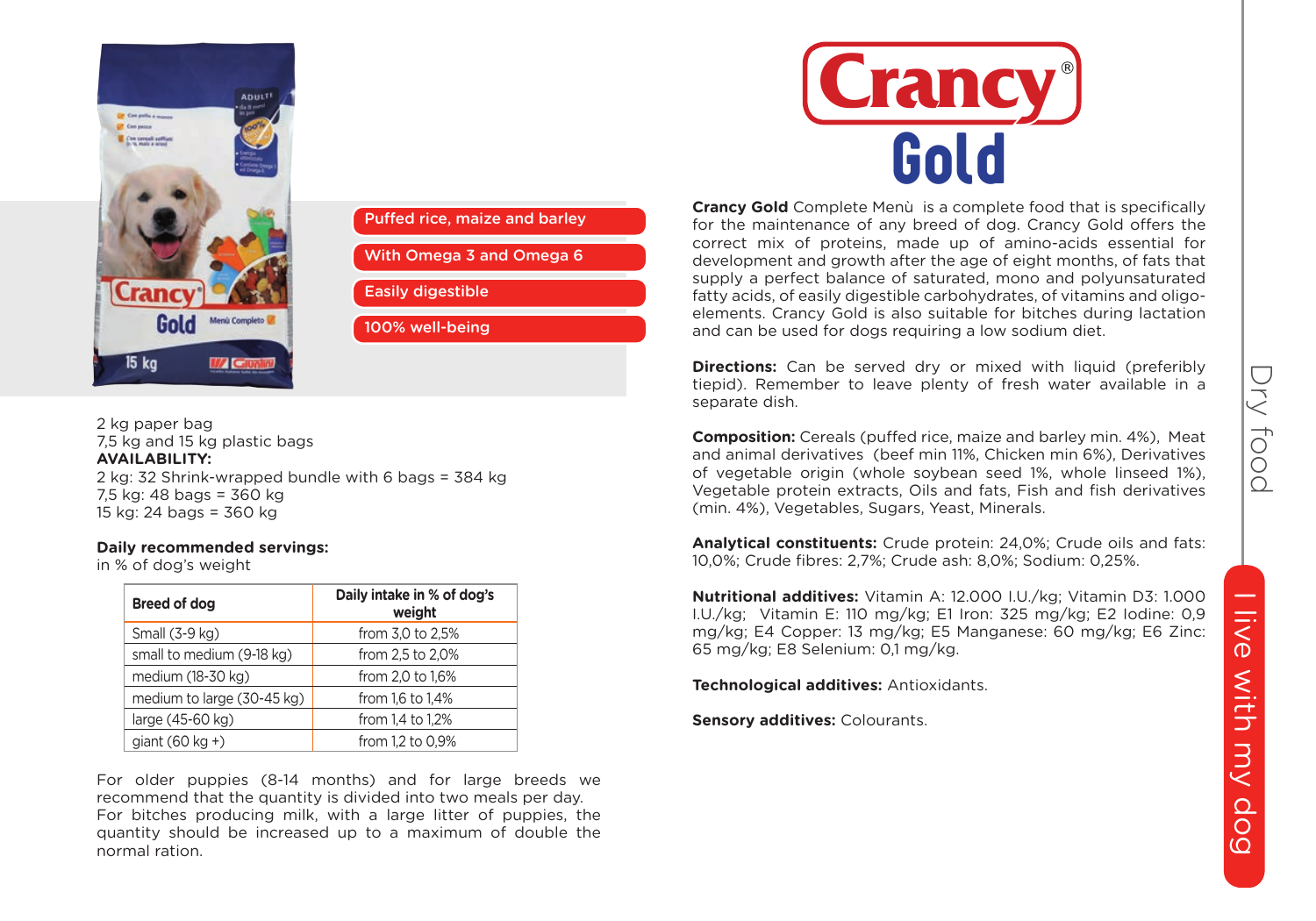



2 kg paper bag 7,5 kg and 15 kg plastic bags **AVAILABILITY:** 2 kg: 32 Shrink-wrapped bundle with 6 bags = 384 kg 7,5 kg: 48 bags = 360 kg 15 kg: 24 bags = 360 kg

#### **Daily recommended servings:**

in % of dog's weight

| Breed of dog               | Daily intake in % of dog's<br>weight |
|----------------------------|--------------------------------------|
| Small (3-9 kg)             | from 3,0 to 2,5%                     |
| small to medium (9-18 kg)  | from 2,5 to 2,0%                     |
| medium (18-30 kg)          | from 2,0 to 1,6%                     |
| medium to large (30-45 kg) | from 1.6 to 1.4%                     |
| large (45-60 kg)           | from 1,4 to 1,2%                     |
| $qiant(60 \text{ kg} + )$  | from 1.2 to 0.9%                     |

For older puppies (8-14 months) and for large breeds we recommend that the quantity is divided into two meals per day. For bitches producing milk, with a large litter of puppies, the quantity should be increased up to a maximum of double the normal ration.



**Crancy Gold** Complete Menù is a complete food that is specifically for the maintenance of any breed of dog. Crancy Gold offers the correct mix of proteins, made up of amino-acids essential for development and growth after the age of eight months, of fats that supply a perfect balance of saturated, mono and polyunsaturated fatty acids, of easily digestible carbohydrates, of vitamins and oligoelements. Crancy Gold is also suitable for bitches during lactation and can be used for dogs requiring a low sodium diet.

**Directions:** Can be served dry or mixed with liquid (preferibly tiepid). Remember to leave plenty of fresh water available in a separate dish.

**Composition:** Cereals (puffed rice, maize and barley min. 4%), Meat and animal derivatives (beef min 11%, Chicken min 6%), Derivatives of vegetable origin (whole soybean seed 1%, whole linseed 1%), Vegetable protein extracts, Oils and fats, Fish and fish derivatives (min. 4%), Vegetables, Sugars, Yeast, Minerals.

**Analytical constituents:** Crude protein: 24,0%; Crude oils and fats: 10,0%; Crude fibres: 2,7%; Crude ash: 8,0%; Sodium: 0,25%.

**Nutritional additives:** Vitamin A: 12.000 I.U./kg; Vitamin D3: 1.000 I.U./kg; Vitamin E: 110 mg/kg; E1 Iron: 325 mg/kg; E2 Iodine: 0,9 mg/kg; E4 Copper: 13 mg/kg; E5 Manganese: 60 mg/kg; E6 Zinc: 65 mg/kg; E8 Selenium: 0,1 mg/kg.

**Technological additives:** Antioxidants.

**Sensory additives:** Colourants.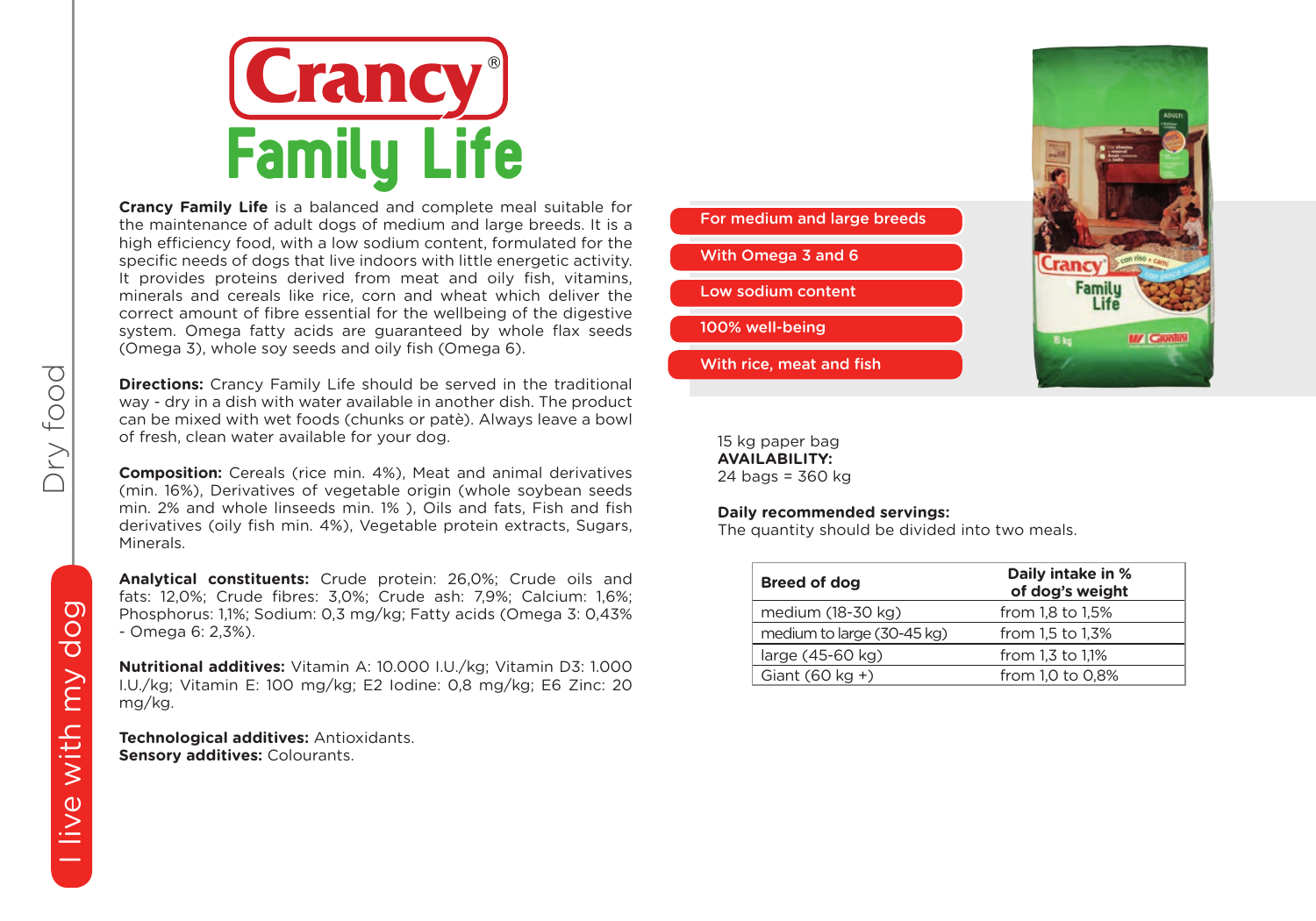

**Crancy Family Life** is a balanced and complete meal suitable for the maintenance of adult dogs of medium and large breeds. It is a high efficiency food, with a low sodium content, formulated for the specific needs of dogs that live indoors with little energetic activity. It provides proteins derived from meat and oily fish, vitamins, minerals and cereals like rice, corn and wheat which deliver the correct amount of fibre essential for the wellbeing of the digestive system. Omega fatty acids are guaranteed by whole flax seeds (Omega 3), whole soy seeds and oily fish (Omega 6).

**Directions:** Crancy Family Life should be served in the traditional way - dry in a dish with water available in another dish. The product can be mixed with wet foods (chunks or patè). Always leave a bowl of fresh, clean water available for your dog.

**Composition:** Cereals (rice min. 4%), Meat and animal derivatives (min. 16%), Derivatives of vegetable origin (whole soybean seeds min. 2% and whole linseeds min. 1% ), Oils and fats, Fish and fish derivatives (oily fish min. 4%), Vegetable protein extracts, Sugars, Minerals.

**Analytical constituents:** Crude protein: 26,0%; Crude oils and fats: 12,0%; Crude fibres: 3,0%; Crude ash: 7,9%; Calcium: 1,6%; Phosphorus: 1,1%; Sodium: 0,3 mg/kg; Fatty acids (Omega 3: 0,43% - Omega 6: 2,3%).

**Nutritional additives:** Vitamin A: 10.000 I.U./kg; Vitamin D3: 1.000 I.U./kg; Vitamin E: 100 mg/kg; E2 Iodine: 0,8 mg/kg; E6 Zinc: 20 mg/kg.

**Technological additives:** Antioxidants. **Sensory additives: Colourants.** 



Cranc Familu Life **M/ Giunti 15 kg** 

15 kg paper bag **AVAILABILITY:** 24 bags = 360 kg

#### **Daily recommended servings:**

The quantity should be divided into two meals.

| Breed of dog               | Daily intake in %<br>of dog's weight |
|----------------------------|--------------------------------------|
| medium (18-30 kg)          | from 1.8 to 1.5%                     |
| medium to large (30-45 kg) | from 1.5 to 1.3%                     |
| large (45-60 kg)           | from 1.3 to 1.1%                     |
| Giant $(60 \text{ kg} + )$ | from 1,0 to 0,8%                     |

# dog I live with my dog live with my

Dry food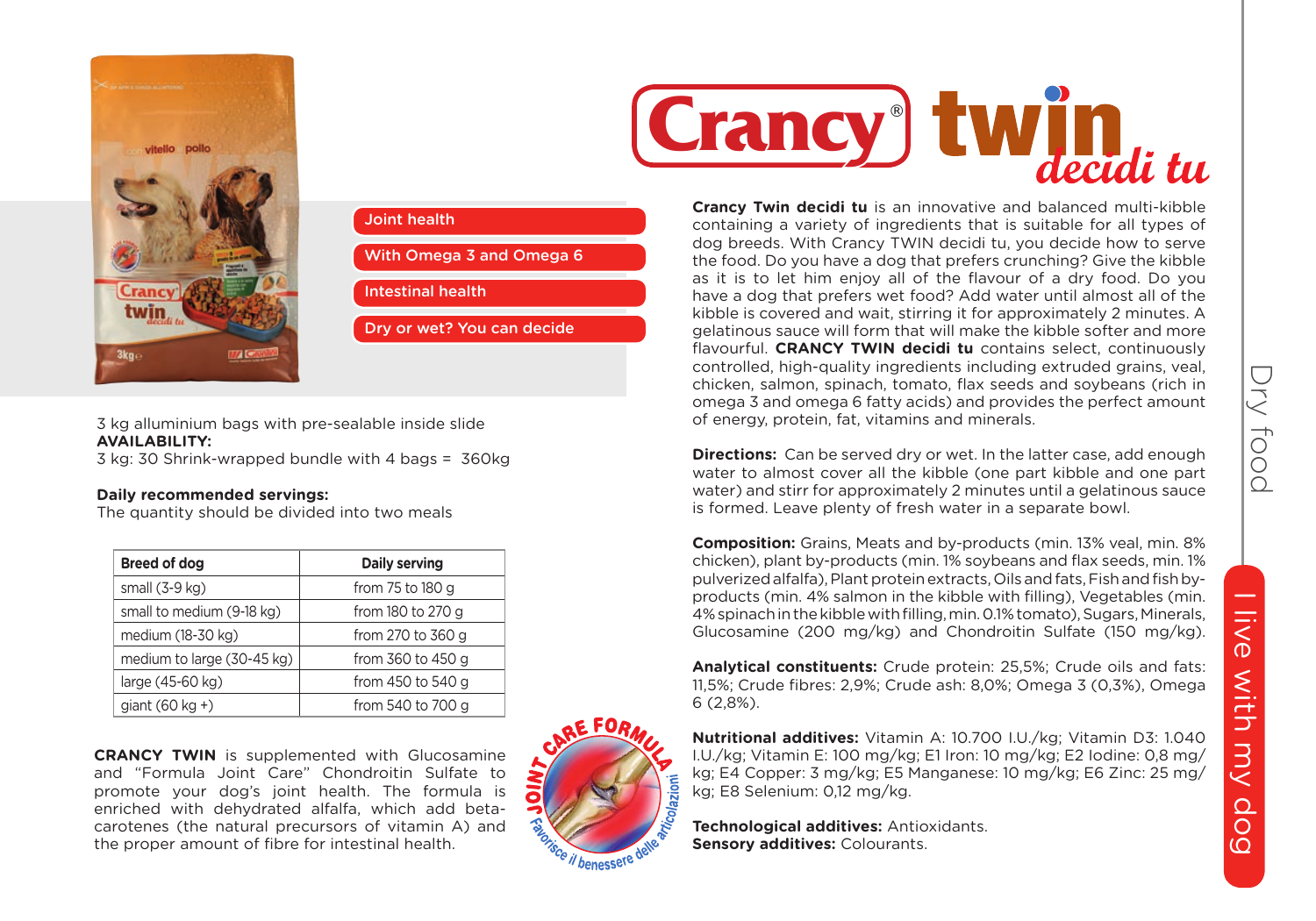



3 kg alluminium bags with pre-sealable inside slide **AVAILABILITY:**

3 kg: 30 Shrink-wrapped bundle with 4 bags = 360kg

## **Daily recommended servings:**

The quantity should be divided into two meals

| Breed of dog               | Daily serving     |
|----------------------------|-------------------|
| small $(3-9$ kg)           | from 75 to 180 g  |
| small to medium (9-18 kg)  | from 180 to 270 g |
| medium (18-30 kg)          | from 270 to 360 g |
| medium to large (30-45 kg) | from 360 to 450 g |
| large (45-60 kg)           | from 450 to 540 g |
| giant $(60 \text{ kg} + )$ | from 540 to 700 g |

**CRANCY TWIN** is supplemented with Glucosamine and "Formula Joint Care" Chondroitin Sulfate to promote your dog's joint health. The formula is enriched with dehydrated alfalfa, which add betacarotenes (the natural precursors of vitamin A) and the proper amount of fibre for intestinal health.





**Incy Twin dec**<br>Itaining a vari **Crancy Twin decidi tu** is an innovative and balanced multi-kibble containing a variety of ingredients that is suitable for all types of dog breeds. With Crancy TWIN decidi tu, you decide how to serve the food. Do you have a dog that prefers crunching? Give the kibble as it is to let him enjoy all of the flavour of a dry food. Do you have a dog that prefers wet food? Add water until almost all of the kibble is covered and wait, stirring it for approximately 2 minutes. A gelatinous sauce will form that will make the kibble softer and more flavourful. **CRANCY TWIN decidi tu** contains select, continuously controlled, high-quality ingredients including extruded grains, veal, chicken, salmon, spinach, tomato, flax seeds and soybeans (rich in omega 3 and omega 6 fatty acids) and provides the perfect amount of energy, protein, fat, vitamins and minerals.

**Directions:** Can be served dry or wet. In the latter case, add enough water to almost cover all the kibble (one part kibble and one part water) and stirr for approximately 2 minutes until a gelatinous sauce is formed. Leave plenty of fresh water in a separate bowl.

**Composition:** Grains, Meats and by-products (min. 13% veal, min. 8% chicken), plant by-products (min. 1% soybeans and flax seeds, min. 1% pulverized alfalfa), Plant protein extracts, Oils and fats, Fish and fish byproducts (min. 4% salmon in the kibble with filling), Vegetables (min. 4% spinach in the kibble with filling, min. 0.1% tomato), Sugars, Minerals, Glucosamine (200 mg/kg) and Chondroitin Sulfate (150 mg/kg).

**Analytical constituents:** Crude protein: 25,5%; Crude oils and fats: 11,5%; Crude fibres: 2,9%; Crude ash: 8,0%; Omega 3 (0,3%), Omega 6 (2,8%).

**Nutritional additives:** Vitamin A: 10.700 I.U./kg; Vitamin D3: 1.040 I.U./kg; Vitamin E: 100 mg/kg; E1 Iron: 10 mg/kg; E2 Iodine: 0,8 mg/ kg; E4 Copper: 3 mg/kg; E5 Manganese: 10 mg/kg; E6 Zinc: 25 mg/ kg; E8 Selenium: 0,12 mg/kg.

**Technological additives:** Antioxidants. **Sensory additives:** Colourants.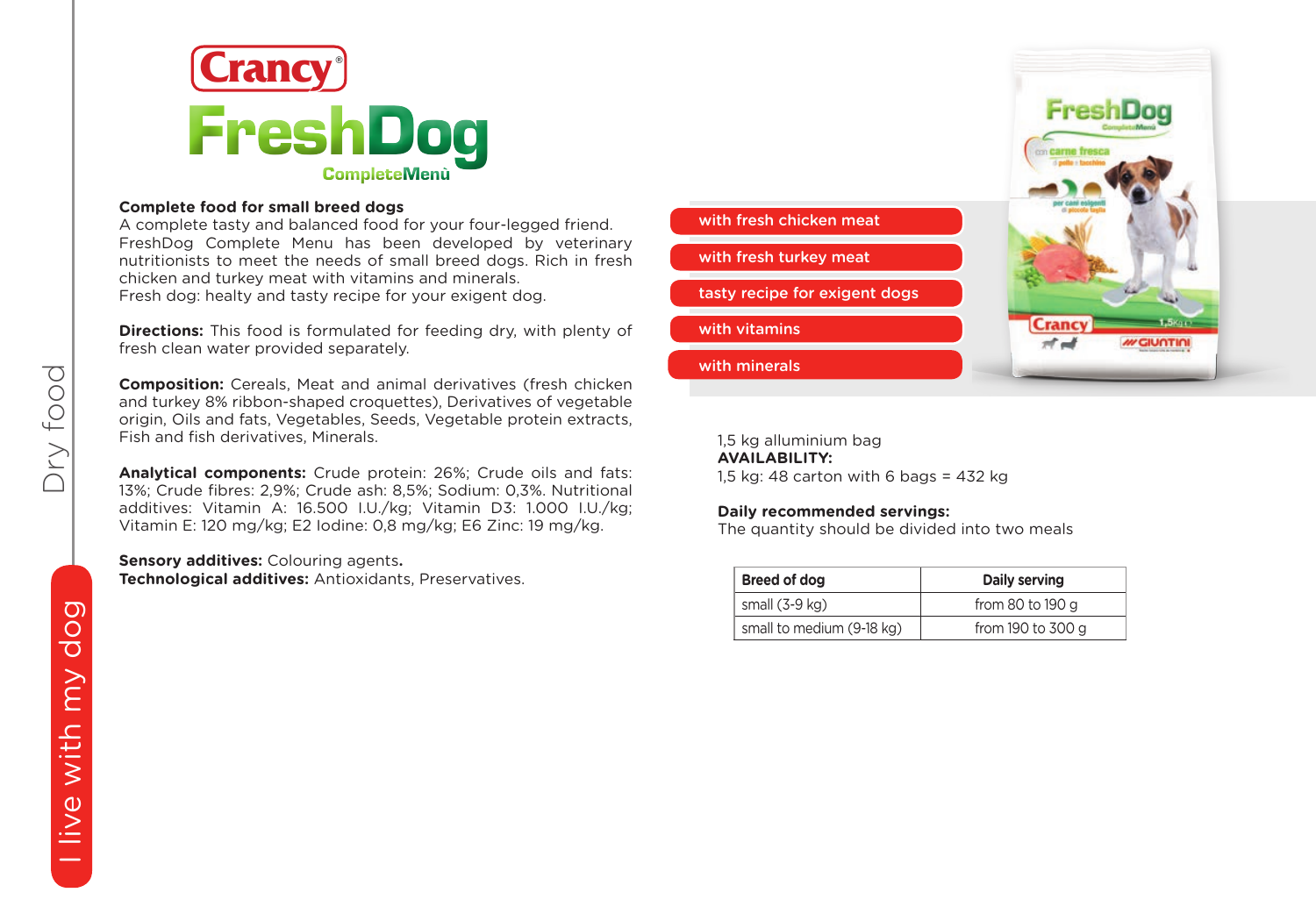

# **Complete food for small breed dogs**

A complete tasty and balanced food for your four-legged friend. FreshDog Complete Menu has been developed by veterinary nutritionists to meet the needs of small breed dogs. Rich in fresh chicken and turkey meat with vitamins and minerals. Fresh dog: healty and tasty recipe for your exigent dog.

**Directions:** This food is formulated for feeding dry, with plenty of fresh clean water provided separately.

**Composition:** Cereals, Meat and animal derivatives (fresh chicken and turkey 8% ribbon-shaped croquettes), Derivatives of vegetable origin, Oils and fats, Vegetables, Seeds, Vegetable protein extracts, Fish and fish derivatives, Minerals.

**Analytical components:** Crude protein: 26%; Crude oils and fats: 13%; Crude fibres: 2,9%; Crude ash: 8,5%; Sodium: 0,3%. Nutritional additives: Vitamin A: 16.500 I.U./kg; Vitamin D3: 1.000 I.U./kg; Vitamin E: 120 mg/kg; E2 Iodine: 0,8 mg/kg; E6 Zinc: 19 mg/kg.

**Sensory additives:** Colouring agents**. Technological additives:** Antioxidants, Preservatives.



Fresh

1,5 kg alluminium bag **AVAILABILITY:** 1,5 kg: 48 carton with 6 bags = 432 kg

## **Daily recommended servings:**

The quantity should be divided into two meals

| Breed of dog              | Daily serving     |
|---------------------------|-------------------|
| small $(3-9$ kg)          | from 80 to 190 g  |
| small to medium (9-18 kg) | from 190 to 300 g |

Dry food